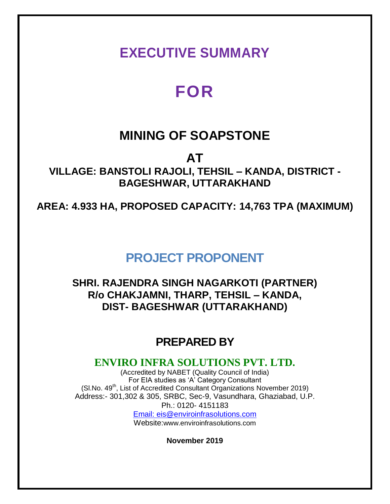## **EXECUTIVE SUMMARY**

# **FOR**

## **MINING OF SOAPSTONE**

**AT VILLAGE: BANSTOLI RAJOLI, TEHSIL – KANDA, DISTRICT - BAGESHWAR, UTTARAKHAND**

**AREA: 4.933 HA, PROPOSED CAPACITY: 14,763 TPA (MAXIMUM)**

## **PROJECT PROPONENT**

### **SHRI. RAJENDRA SINGH NAGARKOTI (PARTNER) R/o CHAKJAMNI, THARP, TEHSIL – KANDA, DIST- BAGESHWAR (UTTARAKHAND)**

## **PREPARED BY**

### **ENVIRO INFRA SOLUTIONS PVT. LTD.**

(Accredited by NABET (Quality Council of India) For EIA studies as 'A' Category Consultant (SI.No.  $49<sup>th</sup>$ , List of Accredited Consultant Organizations November 2019) Address:- 301,302 & 305, SRBC, Sec-9, Vasundhara, Ghaziabad, U.P. Ph.: 0120- 4151183 Email: eis@enviroinfrasolutions.com

Website:www.enviroinfrasolutions.com

**November 2019**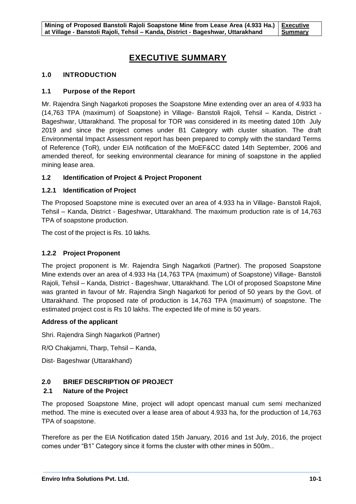### **EXECUTIVE SUMMARY**

#### **1.0 INTRODUCTION**

#### **1.1 Purpose of the Report**

Mr. Rajendra Singh Nagarkoti proposes the Soapstone Mine extending over an area of 4.933 ha (14,763 TPA (maximum) of Soapstone) in Village- Banstoli Rajoli, Tehsil – Kanda, District - Bageshwar, Uttarakhand. The proposal for TOR was considered in its meeting dated 10th July 2019 and since the project comes under B1 Category with cluster situation. The draft Environmental Impact Assessment report has been prepared to comply with the standard Terms of Reference (ToR), under EIA notification of the MoEF&CC dated 14th September, 2006 and amended thereof, for seeking environmental clearance for mining of soapstone in the applied mining lease area.

#### **1.2 Identification of Project & Project Proponent**

#### **1.2.1 Identification of Project**

The Proposed Soapstone mine is executed over an area of 4.933 ha in Village- Banstoli Rajoli, Tehsil – Kanda, District - Bageshwar, Uttarakhand. The maximum production rate is of 14,763 TPA of soapstone production.

The cost of the project is Rs. 10 lakhs.

#### **1.2.2 Project Proponent**

The project proponent is Mr. Rajendra Singh Nagarkoti (Partner). The proposed Soapstone Mine extends over an area of 4.933 Ha (14,763 TPA (maximum) of Soapstone) Village- Banstoli Rajoli, Tehsil – Kanda, District - Bageshwar, Uttarakhand. The LOI of proposed Soapstone Mine was granted in favour of Mr. Rajendra Singh Nagarkoti for period of 50 years by the Govt. of Uttarakhand. The proposed rate of production is 14,763 TPA (maximum) of soapstone. The estimated project cost is Rs 10 lakhs. The expected life of mine is 50 years.

#### **Address of the applicant**

Shri. Rajendra Singh Nagarkoti (Partner)

R/O Chakjamni, Tharp, Tehsil – Kanda,

Dist- Bageshwar (Uttarakhand)

#### **2.0 BRIEF DESCRIPTION OF PROJECT**

#### **2.1 Nature of the Project**

The proposed Soapstone Mine, project will adopt opencast manual cum semi mechanized method. The mine is executed over a lease area of about 4.933 ha, for the production of 14,763 TPA of soapstone.

Therefore as per the EIA Notification dated 15th January, 2016 and 1st July, 2016, the project comes under "B1" Category since it forms the cluster with other mines in 500m..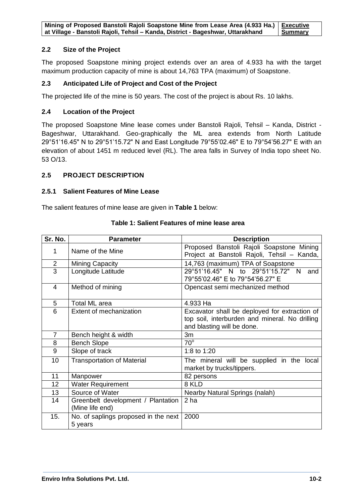| Mining of Proposed Banstoli Rajoli Soapstone Mine from Lease Area (4.933 Ha.)   Executive |         |
|-------------------------------------------------------------------------------------------|---------|
| at Village - Banstoli Rajoli, Tehsil - Kanda, District - Bageshwar, Uttarakhand           | Summary |

#### **2.2 Size of the Project**

The proposed Soapstone mining project extends over an area of 4.933 ha with the target maximum production capacity of mine is about 14,763 TPA (maximum) of Soapstone.

#### **2.3 Anticipated Life of Project and Cost of the Project**

The projected life of the mine is 50 years. The cost of the project is about Rs. 10 lakhs.

#### **2.4 Location of the Project**

The proposed Soapstone Mine lease comes under Banstoli Rajoli, Tehsil – Kanda, District - Bageshwar, Uttarakhand. Geo-graphically the ML area extends from North Latitude 29°51'16.45" N to 29°51'15.72" N and East Longitude 79°55'02.46" E to 79°54'56.27" E with an elevation of about 1451 m reduced level (RL). The area falls in Survey of India topo sheet No. 53 O/13.

#### **2.5 PROJECT DESCRIPTION**

#### **2.5.1 Salient Features of Mine Lease**

The salient features of mine lease are given in **Table 1** below:

| Sr. No.        | <b>Parameter</b>                                      | <b>Description</b>                                                                                                            |
|----------------|-------------------------------------------------------|-------------------------------------------------------------------------------------------------------------------------------|
| 1              | Name of the Mine                                      | Proposed Banstoli Rajoli Soapstone Mining<br>Project at Banstoli Rajoli, Tehsil - Kanda,                                      |
| $\overline{2}$ | Mining Capacity                                       | 14,763 (maximum) TPA of Soapstone                                                                                             |
| 3              | Longitude Latitude                                    | 29°51'16.45" N to 29°51'15.72" N<br>and<br>79°55'02.46" E to 79°54'56.27" E                                                   |
| $\overline{4}$ | Method of mining                                      | Opencast semi mechanized method                                                                                               |
| 5              | <b>Total ML area</b>                                  | 4.933 Ha                                                                                                                      |
| 6              | Extent of mechanization                               | Excavator shall be deployed for extraction of<br>top soil, interburden and mineral. No drilling<br>and blasting will be done. |
| $\overline{7}$ | Bench height & width                                  | 3m                                                                                                                            |
| 8              | <b>Bench Slope</b>                                    | $70^\circ$                                                                                                                    |
| 9              | Slope of track                                        | 1:8 to 1:20                                                                                                                   |
| 10             | <b>Transportation of Material</b>                     | The mineral will be supplied in the local<br>market by trucks/tippers.                                                        |
| 11             | Manpower                                              | 82 persons                                                                                                                    |
| 12             | <b>Water Requirement</b>                              | 8 KLD                                                                                                                         |
| 13             | Source of Water                                       | <b>Nearby Natural Springs (nalah)</b>                                                                                         |
| 14             | Greenbelt development / Plantation<br>(Mine life end) | 2 <sub>ha</sub>                                                                                                               |
| 15.            | No. of saplings proposed in the next<br>5 years       | 2000                                                                                                                          |

#### **Table 1: Salient Features of mine lease area**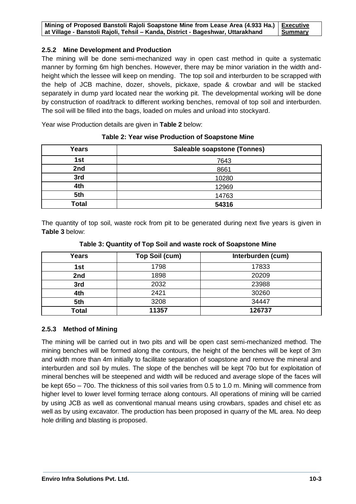| Mining of Proposed Banstoli Rajoli Soapstone Mine from Lease Area (4.933 Ha.)   Executive |                |
|-------------------------------------------------------------------------------------------|----------------|
| at Village - Banstoli Rajoli, Tehsil - Kanda, District - Bageshwar, Uttarakhand           | <b>Summary</b> |

#### **2.5.2 Mine Development and Production**

The mining will be done semi-mechanized way in open cast method in quite a systematic manner by forming 6m high benches. However, there may be minor variation in the width andheight which the lessee will keep on mending. The top soil and interburden to be scrapped with the help of JCB machine, dozer, shovels, pickaxe, spade & crowbar and will be stacked separately in dump yard located near the working pit. The developmental working will be done by construction of road/track to different working benches, removal of top soil and interburden. The soil will be filled into the bags, loaded on mules and unload into stockyard.

Year wise Production details are given in **Table 2** below:

| <b>Years</b> | Saleable soapstone (Tonnes) |
|--------------|-----------------------------|
| 1st          | 7643                        |
| 2nd          | 8661                        |
| 3rd          | 10280                       |
| 4th          | 12969                       |
| 5th          | 14763                       |
| Total        | 54316                       |

**Table 2: Year wise Production of Soapstone Mine**

The quantity of top soil, waste rock from pit to be generated during next five years is given in **Table 3** below:

| Years        | Top Soil (cum) | Interburden (cum) |
|--------------|----------------|-------------------|
| 1st          | 1798           | 17833             |
| 2nd          | 1898           | 20209             |
| 3rd          | 2032           | 23988             |
| 4th          | 2421           | 30260             |
| 5th          | 3208           | 34447             |
| <b>Total</b> | 11357          | 126737            |

**Table 3: Quantity of Top Soil and waste rock of Soapstone Mine**

#### **2.5.3 Method of Mining**

The mining will be carried out in two pits and will be open cast semi-mechanized method. The mining benches will be formed along the contours, the height of the benches will be kept of 3m and width more than 4m initially to facilitate separation of soapstone and remove the mineral and interburden and soil by mules. The slope of the benches will be kept 70o but for exploitation of mineral benches will be steepened and width will be reduced and average slope of the faces will be kept 65o – 70o. The thickness of this soil varies from 0.5 to 1.0 m. Mining will commence from higher level to lower level forming terrace along contours. All operations of mining will be carried by using JCB as well as conventional manual means using crowbars, spades and chisel etc as well as by using excavator. The production has been proposed in quarry of the ML area. No deep hole drilling and blasting is proposed.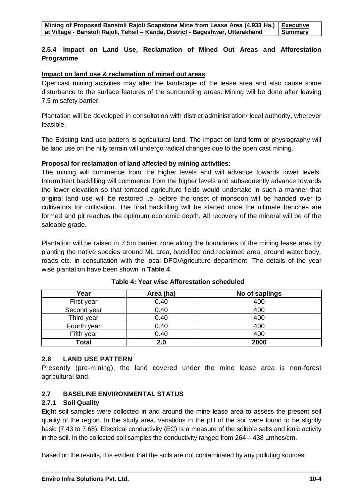#### **2.5.4 Impact on Land Use, Reclamation of Mined Out Areas and Afforestation Programme**

#### **Impact on land use & reclamation of mined out areas**

Opencast mining activities may alter the landscape of the lease area and also cause some disturbance to the surface features of the surrounding areas. Mining will be done after leaving 7.5 m safety barrier.

Plantation will be developed in consultation with district administration/ local authority, wherever feasible.

The Existing land use pattern is agricultural land. The impact on land form or physiography will be land use on the hilly terrain will undergo radical changes due to the open cast mining.

#### **Proposal for reclamation of land affected by mining activities:**

The mining will commence from the higher levels and will advance towards lower levels. Intermittent backfilling will commence from the higher levels and subsequently advance towards the lower elevation so that terraced agriculture fields would undertake in such a manner that original land use will be restored i.e. before the onset of monsoon will be handed over to cultivators for cultivation. The final backfilling will be started once the ultimate benches are formed and pit reaches the optimum economic depth. All recovery of the mineral will be of the saleable grade.

Plantation will be raised in 7.5m barrier zone along the boundaries of the mining lease area by planting the native species around ML area, backfilled and reclaimed area, around water body, roads etc. in consultation with the local DFO/Agriculture department. The details of the year wise plantation have been shown in **Table 4**.

| Year         | Area (ha) | No of saplings |
|--------------|-----------|----------------|
| First year   | 0.40      | 400            |
| Second year  | 0.40      | 400            |
| Third year   | 0.40      | 400            |
| Fourth year  | 0.40      | 400            |
| Fifth year   | 0.40      | 400            |
| <b>Total</b> | 2.0       | 2000           |

**Table 4: Year wise Afforestation scheduled**

#### **2.6 LAND USE PATTERN**

Presently (pre-mining), the land covered under the mine lease area is non-forest agricultural land.

#### **2.7 BASELINE ENVIRONMENTAL STATUS**

#### **2.7.1 Soil Quality**

Eight soil samples were collected in and around the mine lease area to assess the present soil quality of the region. In the study area, variations in the pH of the soil were found to be slightly basic (7.43 to 7.68). Electrical conductivity (EC) is a measure of the soluble salts and ionic activity in the soil. In the collected soil samples the conductivity ranged from 264 – 438 µmhos/cm.

Based on the results, it is evident that the soils are not contaminated by any polluting sources.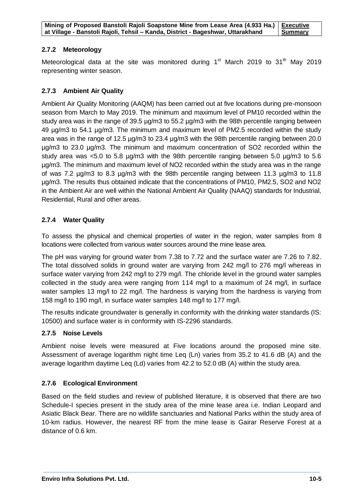#### **2.7.2 Meteorology**

Meteorological data at the site was monitored during  $1<sup>st</sup>$  March 2019 to 31<sup>th</sup> May 2019 representing winter season.

#### **2.7.3 Ambient Air Quality**

Ambient Air Quality Monitoring (AAQM) has been carried out at five locations during pre-monsoon season from March to May 2019. The minimum and maximum level of PM10 recorded within the study area was in the range of 39.5 µg/m3 to 55.2 µg/m3 with the 98th percentile ranging between 49 µg/m3 to 54.1 µg/m3. The minimum and maximum level of PM2.5 recorded within the study area was in the range of 12.5 µg/m3 to 23.4 µg/m3 with the 98th percentile ranging between 20.0 µg/m3 to 23.0 µg/m3. The minimum and maximum concentration of SO2 recorded within the study area was <5.0 to 5.8 µg/m3 with the 98th percentile ranging between 5.0 µg/m3 to 5.6 µg/m3. The minimum and maximum level of NO2 recorded within the study area was in the range of was 7.2 µg/m3 to 8.3 µg/m3 with the 98th percentile ranging between 11.3 µg/m3 to 11.8 µg/m3. The results thus obtained indicate that the concentrations of PM10, PM2.5, SO2 and NO2 in the Ambient Air are well within the National Ambient Air Quality (NAAQ) standards for Industrial, Residential, Rural and other areas.

#### **2.7.4 Water Quality**

To assess the physical and chemical properties of water in the region, water samples from 8 locations were collected from various water sources around the mine lease area.

The pH was varying for ground water from 7.38 to 7.72 and the surface water are 7.26 to 7.82. The total dissolved solids in ground water are varying from 242 mg/l to 276 mg/l whereas in surface water varying from 242 mg/l to 279 mg/l. The chloride level in the ground water samples collected in the study area were ranging from 114 mg/l to a maximum of 24 mg/l, in surface water samples 13 mg/l to 22 mg/l. The hardness is varying from the hardness is varying from 158 mg/l to 190 mg/l, in surface water samples 148 mg/l to 177 mg/l.

The results indicate groundwater is generally in conformity with the drinking water standards (IS: 10500) and surface water is in conformity with IS-2296 standards.

#### **2.7.5 Noise Levels**

Ambient noise levels were measured at Five locations around the proposed mine site. Assessment of average logarithm night time Leq (Ln) varies from 35.2 to 41.6 dB (A) and the average logarithm daytime Leq (Ld) varies from 42.2 to 52.0 dB (A) within the study area.

#### **2.7.6 Ecological Environment**

Based on the field studies and review of published literature, it is observed that there are two Schedule-I species present in the study area of the mine lease area i.e. Indian Leopard and Asiatic Black Bear. There are no wildlife sanctuaries and National Parks within the study area of 10-km radius. However, the nearest RF from the mine lease is Gairar Reserve Forest at a distance of 0.6 km.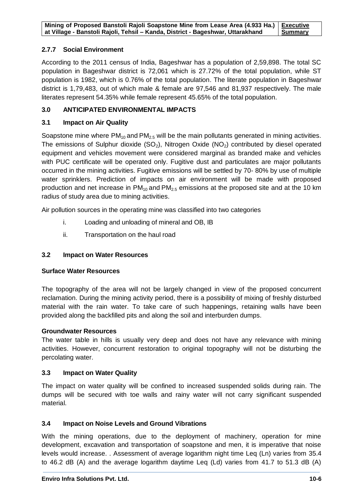| Mining of Proposed Banstoli Rajoli Soapstone Mine from Lease Area (4.933 Ha.)   Executive |         |
|-------------------------------------------------------------------------------------------|---------|
| at Village - Banstoli Rajoli, Tehsil - Kanda, District - Bageshwar, Uttarakhand           | Summary |

#### **2.7.7 Social Environment**

According to the 2011 census of India, Bageshwar has a population of 2,59,898. The total SC population in Bageshwar district is 72,061 which is 27.72% of the total population, while ST population is 1982, which is 0.76% of the total population. The literate population in Bageshwar district is 1,79,483, out of which male & female are 97,546 and 81,937 respectively. The male literates represent 54.35% while female represent 45.65% of the total population.

#### **3.0 ANTICIPATED ENVIRONMENTAL IMPACTS**

#### **3.1 Impact on Air Quality**

Soapstone mine where  $PM_{10}$  and  $PM_{2.5}$  will be the main pollutants generated in mining activities. The emissions of Sulphur dioxide  $(SO_2)$ , Nitrogen Oxide  $(NO_2)$  contributed by diesel operated equipment and vehicles movement were considered marginal as branded make and vehicles with PUC certificate will be operated only. Fugitive dust and particulates are major pollutants occurred in the mining activities. Fugitive emissions will be settled by 70- 80% by use of multiple water sprinklers. Prediction of impacts on air environment will be made with proposed production and net increase in  $PM_{10}$  and  $PM_{2.5}$  emissions at the proposed site and at the 10 km radius of study area due to mining activities.

Air pollution sources in the operating mine was classified into two categories

- i. Loading and unloading of mineral and OB, IB
- ii. Transportation on the haul road

#### **3.2 Impact on Water Resources**

#### **Surface Water Resources**

The topography of the area will not be largely changed in view of the proposed concurrent reclamation. During the mining activity period, there is a possibility of mixing of freshly disturbed material with the rain water. To take care of such happenings, retaining walls have been provided along the backfilled pits and along the soil and interburden dumps.

#### **Groundwater Resources**

The water table in hills is usually very deep and does not have any relevance with mining activities. However, concurrent restoration to original topography will not be disturbing the percolating water.

#### **3.3 Impact on Water Quality**

The impact on water quality will be confined to increased suspended solids during rain. The dumps will be secured with toe walls and rainy water will not carry significant suspended material.

#### **3.4 Impact on Noise Levels and Ground Vibrations**

With the mining operations, due to the deployment of machinery, operation for mine development, excavation and transportation of soapstone and men, it is imperative that noise levels would increase. . Assessment of average logarithm night time Leq (Ln) varies from 35.4 to 46.2 dB (A) and the average logarithm daytime Leq (Ld) varies from 41.7 to 51.3 dB (A)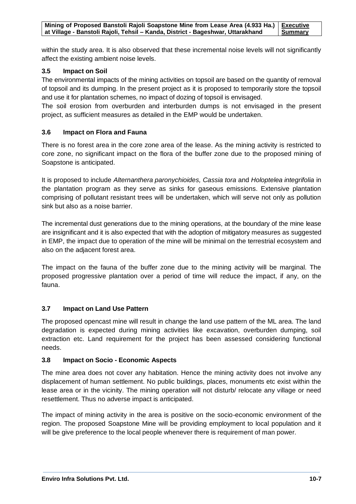within the study area. It is also observed that these incremental noise levels will not significantly affect the existing ambient noise levels.

#### **3.5 Impact on Soil**

The environmental impacts of the mining activities on topsoil are based on the quantity of removal of topsoil and its dumping. In the present project as it is proposed to temporarily store the topsoil and use it for plantation schemes, no impact of dozing of topsoil is envisaged.

The soil erosion from overburden and interburden dumps is not envisaged in the present project, as sufficient measures as detailed in the EMP would be undertaken.

#### **3.6 Impact on Flora and Fauna**

There is no forest area in the core zone area of the lease. As the mining activity is restricted to core zone, no significant impact on the flora of the buffer zone due to the proposed mining of Soapstone is anticipated.

It is proposed to include *Alternanthera paronychioides, Cassia tora* and *Holoptelea integrifolia* in the plantation program as they serve as sinks for gaseous emissions. Extensive plantation comprising of pollutant resistant trees will be undertaken, which will serve not only as pollution sink but also as a noise barrier.

The incremental dust generations due to the mining operations, at the boundary of the mine lease are insignificant and it is also expected that with the adoption of mitigatory measures as suggested in EMP, the impact due to operation of the mine will be minimal on the terrestrial ecosystem and also on the adjacent forest area.

The impact on the fauna of the buffer zone due to the mining activity will be marginal. The proposed progressive plantation over a period of time will reduce the impact, if any, on the fauna.

#### **3.7 Impact on Land Use Pattern**

The proposed opencast mine will result in change the land use pattern of the ML area. The land degradation is expected during mining activities like excavation, overburden dumping, soil extraction etc. Land requirement for the project has been assessed considering functional needs.

#### **3.8 Impact on Socio - Economic Aspects**

The mine area does not cover any habitation. Hence the mining activity does not involve any displacement of human settlement. No public buildings, places, monuments etc exist within the lease area or in the vicinity. The mining operation will not disturb/ relocate any village or need resettlement. Thus no adverse impact is anticipated.

The impact of mining activity in the area is positive on the socio-economic environment of the region. The proposed Soapstone Mine will be providing employment to local population and it will be give preference to the local people whenever there is requirement of man power.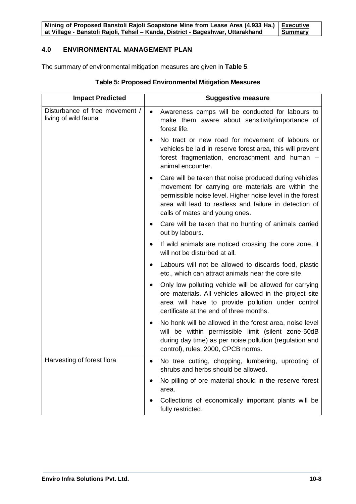**Mining of Proposed Banstoli Rajoli Soapstone Mine from Lease Area (4.933 Ha.) at Village - Banstoli Rajoli, Tehsil – Kanda, District - Bageshwar, Uttarakhand Executive Summary**

#### **4.0 ENVIRONMENTAL MANAGEMENT PLAN**

The summary of environmental mitigation measures are given in **Table 5**.

| <b>Impact Predicted</b>                                | <b>Suggestive measure</b>                                                                                                                                                                                                                                                          |  |
|--------------------------------------------------------|------------------------------------------------------------------------------------------------------------------------------------------------------------------------------------------------------------------------------------------------------------------------------------|--|
| Disturbance of free movement /<br>living of wild fauna | Awareness camps will be conducted for labours to<br>$\bullet$<br>make them aware about sensitivity/importance of<br>forest life.                                                                                                                                                   |  |
|                                                        | No tract or new road for movement of labours or<br>vehicles be laid in reserve forest area, this will prevent<br>forest fragmentation, encroachment and human -<br>animal encounter.                                                                                               |  |
|                                                        | Care will be taken that noise produced during vehicles<br>$\bullet$<br>movement for carrying ore materials are within the<br>permissible noise level. Higher noise level in the forest<br>area will lead to restless and failure in detection of<br>calls of mates and young ones. |  |
|                                                        | Care will be taken that no hunting of animals carried<br>out by labours.                                                                                                                                                                                                           |  |
|                                                        | If wild animals are noticed crossing the core zone, it<br>٠<br>will not be disturbed at all.                                                                                                                                                                                       |  |
|                                                        | Labours will not be allowed to discards food, plastic<br>etc., which can attract animals near the core site.                                                                                                                                                                       |  |
|                                                        | Only low polluting vehicle will be allowed for carrying<br>ore materials. All vehicles allowed in the project site<br>area will have to provide pollution under control<br>certificate at the end of three months.                                                                 |  |
|                                                        | No honk will be allowed in the forest area, noise level<br>will be within permissible limit (silent zone-50dB<br>during day time) as per noise pollution (regulation and<br>control), rules, 2000, CPCB norms.                                                                     |  |
| Harvesting of forest flora                             | No tree cutting, chopping, lumbering, uprooting of<br>shrubs and herbs should be allowed.                                                                                                                                                                                          |  |
|                                                        | No pilling of ore material should in the reserve forest<br>area.                                                                                                                                                                                                                   |  |
|                                                        | Collections of economically important plants will be<br>fully restricted.                                                                                                                                                                                                          |  |

#### **Table 5: Proposed Environmental Mitigation Measures**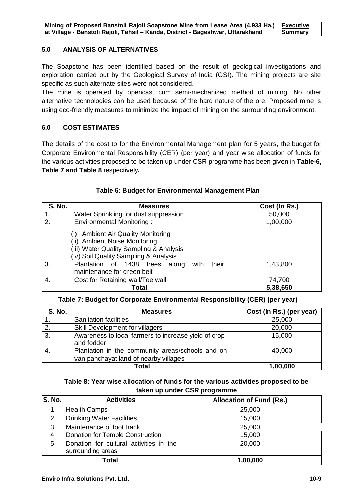| Mining of Proposed Banstoli Rajoli Soapstone Mine from Lease Area (4.933 Ha.)   Executive |           |
|-------------------------------------------------------------------------------------------|-----------|
| at Village - Banstoli Rajoli, Tehsil - Kanda, District - Bageshwar, Uttarakhand           | I Summary |

#### **5.0 ANALYSIS OF ALTERNATIVES**

The Soapstone has been identified based on the result of geological investigations and exploration carried out by the Geological Survey of India (GSI). The mining projects are site specific as such alternate sites were not considered.

The mine is operated by opencast cum semi-mechanized method of mining. No other alternative technologies can be used because of the hard nature of the ore. Proposed mine is using eco-friendly measures to minimize the impact of mining on the surrounding environment.

#### **6.0 COST ESTIMATES**

The details of the cost to for the Environmental Management plan for 5 years, the budget for Corporate Environmental Responsibility (CER) (per year) and year wise allocation of funds for the various activities proposed to be taken up under CSR programme has been given in **Table-6, Table 7 and Table 8** respectively**.**

| <b>S. No.</b> | <b>Measures</b>                                                                                                                                              | Cost (In Rs.) |
|---------------|--------------------------------------------------------------------------------------------------------------------------------------------------------------|---------------|
| 1.            | Water Sprinkling for dust suppression                                                                                                                        | 50,000        |
| 2.            | <b>Environmental Monitoring:</b>                                                                                                                             | 1,00,000      |
|               | <b>Ambient Air Quality Monitoring</b><br><b>Ambient Noise Monitoring</b><br>(iii) Water Quality Sampling & Analysis<br>(iv) Soil Quality Sampling & Analysis |               |
| 3.            | their<br>Plantation of 1438 trees<br>with<br>along<br>maintenance for green belt                                                                             | 1,43,800      |
| 4.            | Cost for Retaining wall/Toe wall                                                                                                                             | 74,700        |
|               | Total                                                                                                                                                        | 5,38,650      |

#### **Table 6: Budget for Environmental Management Plan**

#### **Table 7: Budget for Corporate Environmental Responsibility (CER) (per year)**

| <b>S. No.</b> | <b>Measures</b>                                                                           | Cost (In Rs.) (per year) |
|---------------|-------------------------------------------------------------------------------------------|--------------------------|
|               | <b>Sanitation facilities</b>                                                              | 25,000                   |
| 2.            | Skill Development for villagers                                                           | 20,000                   |
| 3.            | Awareness to local farmers to increase yield of crop<br>and fodder                        | 15,000                   |
|               | Plantation in the community areas/schools and on<br>van panchayat land of nearby villages | 40,000                   |
|               | Total                                                                                     | 1,00,000                 |

#### **Table 8: Year wise allocation of funds for the various activities proposed to be taken up under CSR programme**

| S. No.        | <b>Activities</b>                                            | <b>Allocation of Fund (Rs.)</b> |
|---------------|--------------------------------------------------------------|---------------------------------|
|               | <b>Health Camps</b>                                          | 25,000                          |
| $\mathcal{P}$ | <b>Drinking Water Facilities</b>                             | 15,000                          |
| 3             | Maintenance of foot track                                    | 25,000                          |
| 4             | Donation for Temple Construction                             | 15,000                          |
| 5             | Donation for cultural activities in the<br>surrounding areas | 20,000                          |
| Total         |                                                              | 1,00,000                        |